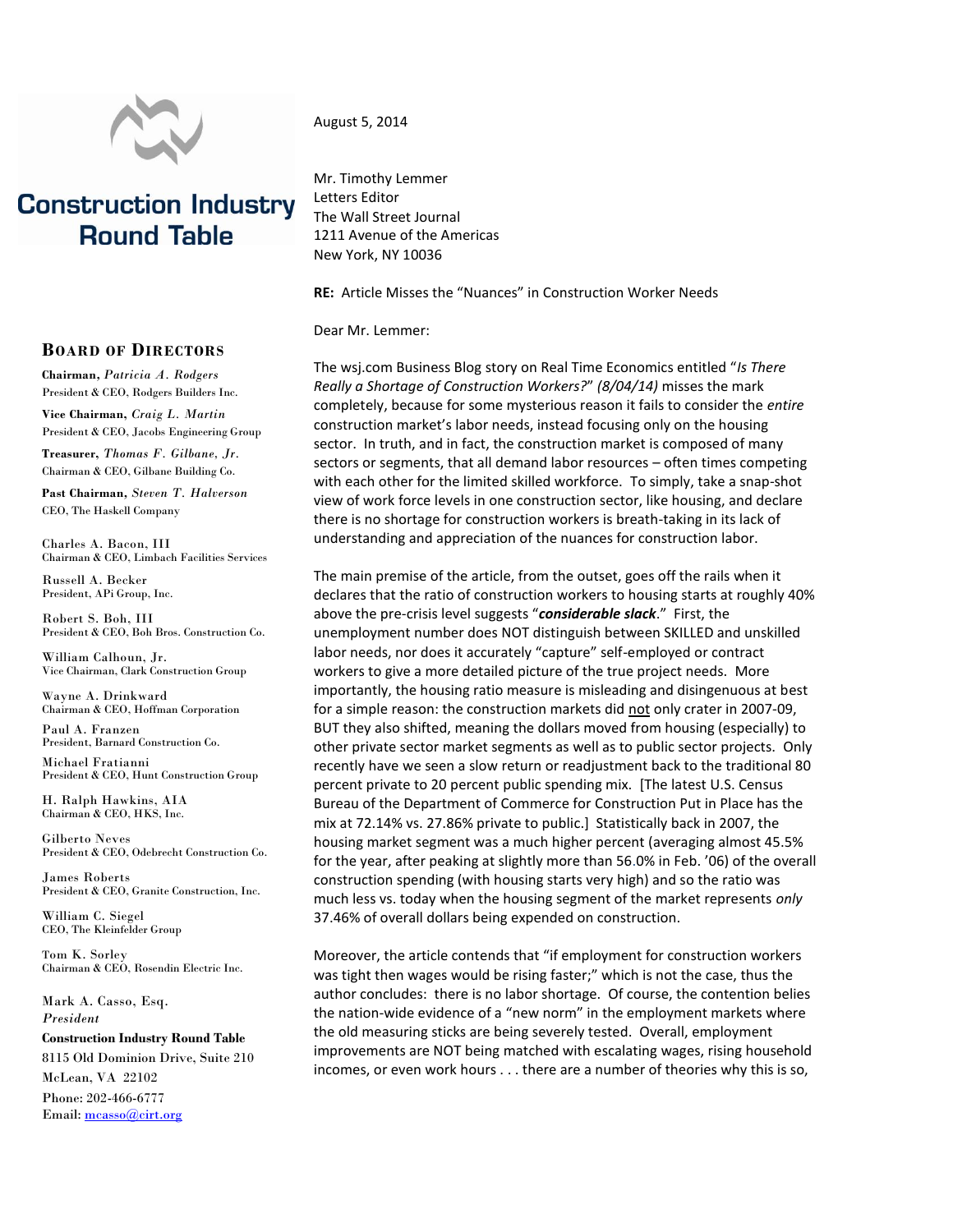

## **Construction Industry Round Table**

## **BOARD OF DIRECTORS**

**Chairman***, Patricia A. Rodgers* President & CEO, Rodgers Builders Inc.

**Vice Chairman,** *Craig L. Martin* President & CEO, Jacobs Engineering Group

**Treasurer,** *Thomas F. Gilbane, Jr.* Chairman & CEO, Gilbane Building Co.

**Past Chairman***, Steven T. Halverson* CEO, The Haskell Company

Charles A. Bacon, III Chairman & CEO, Limbach Facilities Services

Russell A. Becker President, APi Group, Inc.

Robert S. Boh, III President & CEO, Boh Bros. Construction Co.

William Calhoun, Jr. Vice Chairman, Clark Construction Group

Wayne A. Drinkward Chairman & CEO, Hoffman Corporation

Paul A. Franzen President, Barnard Construction Co.

Michael Fratianni President & CEO, Hunt Construction Group

H. Ralph Hawkins, AIA Chairman & CEO, HKS, Inc.

Gilberto Neves President & CEO, Odebrecht Construction Co.

James Roberts President & CEO, Granite Construction, Inc.

William C. Siegel CEO, The Kleinfelder Group

Tom K. Sorley Chairman & CEO, Rosendin Electric Inc.

Mark A. Casso, Esq. *President*

**Construction Industry Round Table** 8115 Old Dominion Drive, Suite 210 McLean, VA 22102 Phone: 202-466-6777 Email[: mcasso@cirt.org](mailto:mcasso@cirt.org)

## August 5, 2014

Mr. Timothy Lemmer Letters Editor The Wall Street Journal 1211 Avenue of the Americas New York, NY 10036

**RE:** Article Misses the "Nuances" in Construction Worker Needs

Dear Mr. Lemmer:

The wsj.com Business Blog story on Real Time Economics entitled "*Is There Really a Shortage of Construction Workers?*" *(8/04/14)* misses the mark completely, because for some mysterious reason it fails to consider the *entire* construction market's labor needs, instead focusing only on the housing sector. In truth, and in fact, the construction market is composed of many sectors or segments, that all demand labor resources – often times competing with each other for the limited skilled workforce. To simply, take a snap-shot view of work force levels in one construction sector, like housing, and declare there is no shortage for construction workers is breath-taking in its lack of understanding and appreciation of the nuances for construction labor.

The main premise of the article, from the outset, goes off the rails when it declares that the ratio of construction workers to housing starts at roughly 40% above the pre-crisis level suggests "*considerable slack*." First, the unemployment number does NOT distinguish between SKILLED and unskilled labor needs, nor does it accurately "capture" self-employed or contract workers to give a more detailed picture of the true project needs. More importantly, the housing ratio measure is misleading and disingenuous at best for a simple reason: the construction markets did not only crater in 2007-09, BUT they also shifted, meaning the dollars moved from housing (especially) to other private sector market segments as well as to public sector projects. Only recently have we seen a slow return or readjustment back to the traditional 80 percent private to 20 percent public spending mix. [The latest U.S. Census Bureau of the Department of Commerce for Construction Put in Place has the mix at 72.14% vs. 27.86% private to public.] Statistically back in 2007, the housing market segment was a much higher percent (averaging almost 45.5% for the year, after peaking at slightly more than 56.0% in Feb. '06) of the overall construction spending (with housing starts very high) and so the ratio was much less vs. today when the housing segment of the market represents *only* 37.46% of overall dollars being expended on construction.

Moreover, the article contends that "if employment for construction workers was tight then wages would be rising faster;" which is not the case, thus the author concludes: there is no labor shortage. Of course, the contention belies the nation-wide evidence of a "new norm" in the employment markets where the old measuring sticks are being severely tested. Overall, employment improvements are NOT being matched with escalating wages, rising household incomes, or even work hours . . . there are a number of theories why this is so,